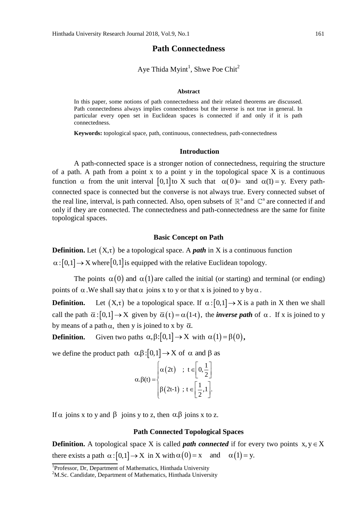# **Path Connectedness**

Aye Thida Myint<sup>1</sup>, Shwe Poe Chit<sup>2</sup>

### **Abstract**

In this paper, some notions of path connectedness and their related theorems are discussed. Path connectedness always implies connectedness but the inverse is not true in general. In particular every open set in Euclidean spaces is connected if and only if it is path connectedness.

**Keywords:** topological space, path, continuous, connectedness, path-connectedness

### **Introduction**

A path-connected space is a stronger notion of connectedness, requiring the structure of a path. A path from a point x to a point y in the topological space  $X$  is a continuous function  $\alpha$  from the unit interval [0,1] to X such that  $\alpha(0)$  = x and  $\alpha(1)$  = y. Every pathconnected space is connected but the converse is not always true. Every connected subset of the real line, interval, is path connected. Also, open subsets of  $\mathbb{R}^n$  and  $\mathbb{C}^n$  are connected if and only if they are connected. The connectedness and path-connectedness are the same for finite topological spaces.

### **Basic Concept on Path**

**Definition.** Let  $(X,\tau)$  be a topological space. A *path* in X is a continuous function  $\alpha: [0,1] \to X$  where  $[0,1]$  is equipped with the relative Euclidean topology.

The points  $\alpha(0)$  and  $\alpha(1)$  are called the initial (or starting) and terminal (or ending) points of  $\alpha$ . We shall say that  $\alpha$  joins x to y or that x is joined to y by  $\alpha$ .

**Definition.**  $(X,\tau)$  be a topological space. If  $\alpha: [0,1] \to X$  is a path in X then we shall call the path  $\bar{\alpha}$ :  $[0,1] \to X$  given by  $\bar{\alpha}(t) = \alpha(1-t)$ , the *inverse path* of  $\alpha$ . If x is joined to y by means of a path  $\alpha$ , then y is joined to x by  $\bar{\alpha}$ .

**Definition.** Given two paths  $\alpha, \beta$ :  $[0,1] \rightarrow X$  with  $\alpha(1) = \beta(0)$ ,

we define the product path  $\alpha.\beta:[0,1] \to X$  of  $\alpha$  and  $\beta$  as

$$
\alpha.\beta(t) = \begin{cases} \alpha(2t) & ; t \in \left[0, \frac{1}{2}\right] \\ \beta(2t-1) & ; t \in \left[\frac{1}{2}, 1\right]. \end{cases}
$$

If  $\alpha$  joins x to y and  $\beta$  joins y to z, then  $\alpha$ . $\beta$  joins x to z.

## **Path Connected Topological Spaces**

**Definition.** A topological space X is called *path connected* if for every two points  $x, y \in X$ there exists a path  $\alpha:[0,1] \to X$  in X with  $\alpha(0) = x$  and  $\alpha(1) = y$ .

<sup>&</sup>lt;sup>1</sup>Professor, Dr, Department of Mathematics, Hinthada University

<sup>&</sup>lt;sup>2</sup>M.Sc. Candidate, Department of Mathematics, Hinthada University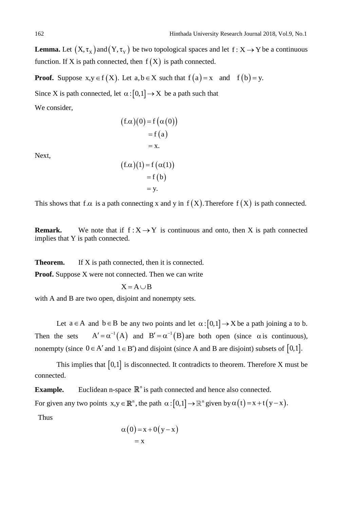**Lemma.** Let  $(X, \tau_X)$  and  $(Y, \tau_Y)$  be two topological spaces and let  $f: X \to Y$  be a continuous function. If X is path connected, then  $f(X)$  is path connected.

**Proof.** Suppose  $x, y \in f(X)$ . Let  $a, b \in X$  such that  $f(a) = x$  and  $f(b) = y$ .

Since X is path connected, let  $\alpha$ :  $[0,1] \rightarrow X$  be a path such that

We consider,

$$
(f.\alpha)(0) = f(\alpha(0))
$$
  
= f(a)  
= x.  

$$
(f\alpha)(1) = f(\alpha(1))
$$

Next,

$$
(f.\alpha)(1) = f(\alpha(1))
$$
  
= f(b)  
= y.

This shows that f. $\alpha$  is a path connecting x and y in f(X). Therefore f(X) is path connected.

**Remark.** We note that if  $f: X \rightarrow Y$  is continuous and onto, then X is path connected implies that Y is path connected.

**Theorem.** If X is path connected, then it is connected.

**Proof.** Suppose X were not connected. Then we can write

$$
X = A \cup B
$$

with A and B are two open, disjoint and nonempty sets.

Let  $a \in A$  and  $b \in B$  be any two points and let  $\alpha : [0,1] \rightarrow X$  be a path joining a to b. Then the sets  $A' = \alpha^{-1}(A)$  and  $B' = \alpha^{-1}(B)$  are both open (since  $\alpha$  is continuous), nonempty (since  $0 \in A'$  and  $1 \in B'$ ) and disjoint (since A and B are disjoint) subsets of  $[0,1]$ .

This implies that  $[0,1]$  is disconnected. It contradicts to theorem. Therefore X must be connected.

**Example.** Euclidean n-space  $\mathbb{R}^n$  is path connected and hence also connected.

For given any two points  $x, y \in \mathbb{R}^n$ , the path  $\alpha : [0,1] \to \mathbb{R}^n$  given by  $\alpha(t) = x + t(y - x)$ .<br>Thus

Thus  

$$
\alpha(0) = x + 0(y - x)
$$

$$
= x
$$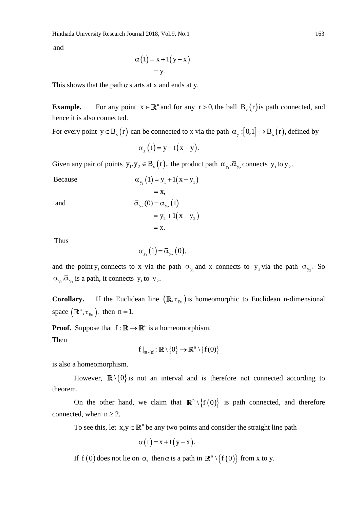and

and  
\n
$$
\alpha(1) = x + 1(y - x)
$$
\n
$$
= y.
$$

This shows that the path  $\alpha$  starts at x and ends at y.

**Example.** For any point  $x \in \mathbb{R}^n$  and for any  $r > 0$ , the ball  $B_x(r)$  is path connected, and hence it is also connected.

For every point  $y \in B_x(r)$  can be connected to x via the path  $\alpha_y : [0,1] \to B_x(r)$ , defined by

$$
\alpha_{y}(t) = y + t(x - y).
$$

Given any pair of points  $y_1, y_2 \in B_x(r)$ , the product path  $\alpha_{y_1} \cdot \overline{\alpha}_{y_2}$  connects  $y_1$  to  $y_2$ .<br>Because  $\alpha_{y_1}(1) = y_1 + 1(x - y_1)$ 

Because  
\n
$$
\alpha_{y_1}(1) = y_1 + 1(x - y_1)
$$
\n
$$
= x,
$$
\nand  
\n
$$
\overline{\alpha}_{y_2}(0) = \alpha_{y_2}(1)
$$
\n
$$
= y_2 + 1(x - y_2)
$$
\n
$$
= x.
$$

Thus

$$
\alpha_{y_1}(1) = \overline{\alpha}_{y_2}(0),
$$

and the point y<sub>1</sub> connects to x via the path  $\alpha_{y_1}$  and x connects to y<sub>2</sub> via the path  $\overline{\alpha}_{y_2}$ . So  $\alpha_{y_1} \cdot \overline{\alpha}_{y_2}$  is a path, it connects  $y_1$  to  $y_2$ .

**Corollary.** If the Euclidean line  $(\mathbb{R}, \tau_{Eu})$  is homeomorphic to Euclidean n-dimensional space  $(\mathbb{R}^n, \tau_{Eu})$ , then  $n = 1$ .

**Proof.** Suppose that  $f : \mathbb{R} \to \mathbb{R}^n$  is a homeomorphism. Then

 $_{(0)}: \mathbb{R} \setminus \{0\} \to \mathbb{R}^n \setminus \{f(0)\}$  $f |_{\mathbb{R}\setminus\{0\}}: \mathbb{R}\setminus\{0\}\to\mathbb{R}^n\setminus\{f(0)\}$ 

is also a homeomorphism.

However,  $\mathbb{R}\setminus\{0\}$  is not an interval and is therefore not connected according to theorem.

On the other hand, we claim that  $\mathbb{R}^n \setminus \{f(0)\}\$ is path connected, and therefore connected, when  $n \ge 2$ .

To see this, let  $x, y \in \mathbb{R}^n$  be any two points and consider the straight line path

$$
\alpha(t) = x + t(y - x).
$$

If  $f(0)$  does not lie on  $\alpha$ , then  $\alpha$  is a path in  $\mathbb{R}^n \setminus \{f(0)\}\)$  from x to y.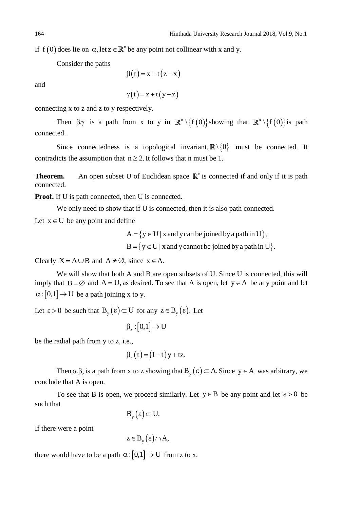If  $f(0)$  does lie on  $\alpha$ , let  $z \in \mathbb{R}^n$  be any point not collinear with x and y.

Consider the paths

$$
\beta(t) = x + t(z - x)
$$

and

 $\gamma(t) = z + t(y - z)$ 

connecting x to z and z to y respectively.

Then  $\beta$ . is a path from x to y in  $\mathbb{R}^n \setminus {\{f(0)\}}$  showing that  $\mathbb{R}^n \setminus {\{f(0)\}}$  is path connected.

Since connectedness is a topological invariant,  $\mathbb{R}\setminus\{0\}$  must be connected. It contradicts the assumption that  $n \ge 2$ . It follows that n must be 1.

**Theorem.** An open subset U of Euclidean space  $\mathbb{R}^n$  is connected if and only if it is path connected.

**Proof.** If U is path connected, then U is connected.

We only need to show that if U is connected, then it is also path connected.

Let  $x \in U$  be any point and define

ine<br>A = {y  $\in$  U | x and y can be joined by a path in U},  $A = \{y \in U | x \text{ and } y \text{ can be joined by a path in } U\},$ <br> $B = \{y \in U | x \text{ and } y \text{ cannot be joined by a path in } U\}.$ 

Clearly  $X = A \cup B$  and  $A \neq \emptyset$ , since  $x \in A$ .

We will show that both A and B are open subsets of U. Since U is connected, this will imply that  $B = \emptyset$  and  $A = U$ , as desired. To see that A is open, let  $y \in A$  be any point and let  $\alpha$ : [0,1]  $\rightarrow$  U be a path joining x to y.

Let  $\epsilon > 0$  be such that  $B_y(\epsilon) \subset U$  for any  $z \in B_y(\epsilon)$ . Let

$$
\beta_z : [0,1] \to U
$$

be the radial path from y to z, i.e.,

$$
\beta_z(t) = (1-t)y + tz.
$$

Then  $\alpha \beta_z$  is a path from x to z showing that  $B_y(\epsilon) \subset A$ . Since  $y \in A$  was arbitrary, we conclude that A is open.

To see that B is open, we proceed similarly. Let  $y \in B$  be any point and let  $\varepsilon > 0$  be such that

$$
B_{y}(\epsilon) \subset U.
$$

If there were a point

$$
z \in B_{y}(\varepsilon) \cap A,
$$

there would have to be a path  $\alpha$ :  $[0,1]$   $\rightarrow$  U from z to x.